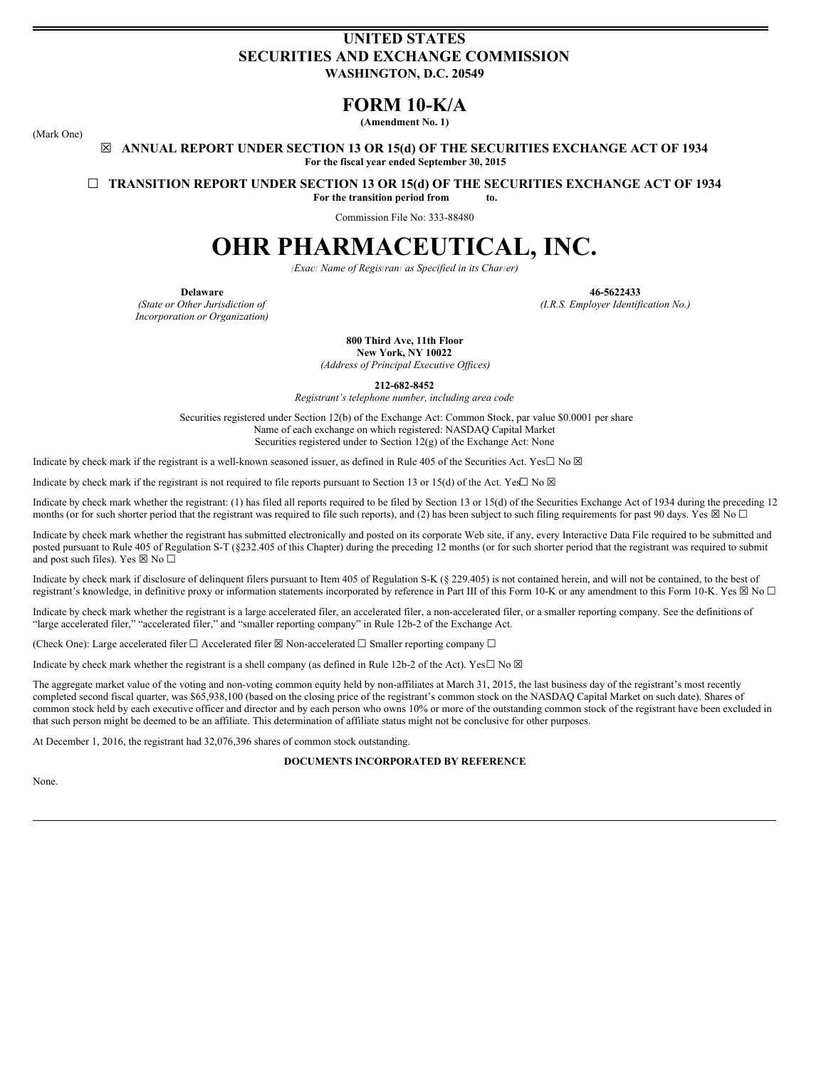# **UNITED STATES SECURITIES AND EXCHANGE COMMISSION WASHINGTON, D.C. 20549**

# **FORM 10-K/A**

**(Amendment No. 1)**

(Mark One)

**☒ ANNUAL REPORT UNDER SECTION 13 OR 15(d) OF THE SECURITIES EXCHANGE ACT OF 1934 For the fiscal year ended September 30, 2015**

**☐ TRANSITION REPORT UNDER SECTION 13 OR 15(d) OF THE SECURITIES EXCHANGE ACT OF 1934**

**For the transition period from to.**

Commission File No: 333-88480

# **OHR PHARMACEUTICAL, INC.**

*(Exact Name of Registrant as Specified in its Charter)*

*(State or Other Jurisdiction of Incorporation or Organization)*

**Delaware 46-5622433**

*(I.R.S. Employer Identification No.)*

**800 Third Ave, 11th Floor New York, NY 10022**

*(Address of Principal Executive Of ices)*

**212-682-8452**

*Registrant's telephone number, including area code*

Securities registered under Section 12(b) of the Exchange Act: Common Stock, par value \$0.0001 per share Name of each exchange on which registered: NASDAQ Capital Market Securities registered under to Section  $12(g)$  of the Exchange Act: None

Indicate by check mark if the registrant is a well-known seasoned issuer, as defined in Rule 405 of the Securities Act. Yes $\Box$  No  $\boxtimes$ 

Indicate by check mark if the registrant is not required to file reports pursuant to Section 13 or 15(d) of the Act. Yes $\Box$  No  $\boxtimes$ 

Indicate by check mark whether the registrant: (1) has filed all reports required to be filed by Section 13 or 15(d) of the Securities Exchange Act of 1934 during the preceding 12 months (or for such shorter period that the registrant was required to file such reports), and (2) has been subject to such filing requirements for past 90 days. Yes  $\boxtimes$  No  $\Box$ 

Indicate by check mark whether the registrant has submitted electronically and posted on its corporate Web site, if any, every Interactive Data File required to be submitted and posted pursuant to Rule 405 of Regulation S-T (§232.405 of this Chapter) during the preceding 12 months (or for such shorter period that the registrant was required to submit and post such files). Yes  $\boxtimes$  No  $\Box$ 

Indicate by check mark if disclosure of delinquent filers pursuant to Item 405 of Regulation S-K (§ 229.405) is not contained herein, and will not be contained, to the best of registrant's knowledge, in definitive proxy or information statements incorporated by reference in Part III of this Form 10-K or any amendment to this Form 10-K. Yes  $\boxtimes$  No  $\Box$ 

Indicate by check mark whether the registrant is a large accelerated filer, an accelerated filer, a non-accelerated filer, or a smaller reporting company. See the definitions of "large accelerated filer," "accelerated filer," and "smaller reporting company" in Rule 12b-2 of the Exchange Act.

(Check One): Large accelerated filer  $\Box$  Accelerated filer  $\boxtimes$  Non-accelerated  $\Box$  Smaller reporting company  $\Box$ 

Indicate by check mark whether the registrant is a shell company (as defined in Rule 12b-2 of the Act). Yes $\Box$  No  $\boxtimes$ 

The aggregate market value of the voting and non-voting common equity held by non-affiliates at March 31, 2015, the last business day of the registrant's most recently completed second fiscal quarter, was \$65,938,100 (based on the closing price of the registrant's common stock on the NASDAQ Capital Market on such date). Shares of common stock held by each executive officer and director and by each person who owns 10% or more of the outstanding common stock of the registrant have been excluded in that such person might be deemed to be an affiliate. This determination of affiliate status might not be conclusive for other purposes.

At December 1, 2016, the registrant had 32,076,396 shares of common stock outstanding.

#### **DOCUMENTS INCORPORATED BY REFERENCE**

None.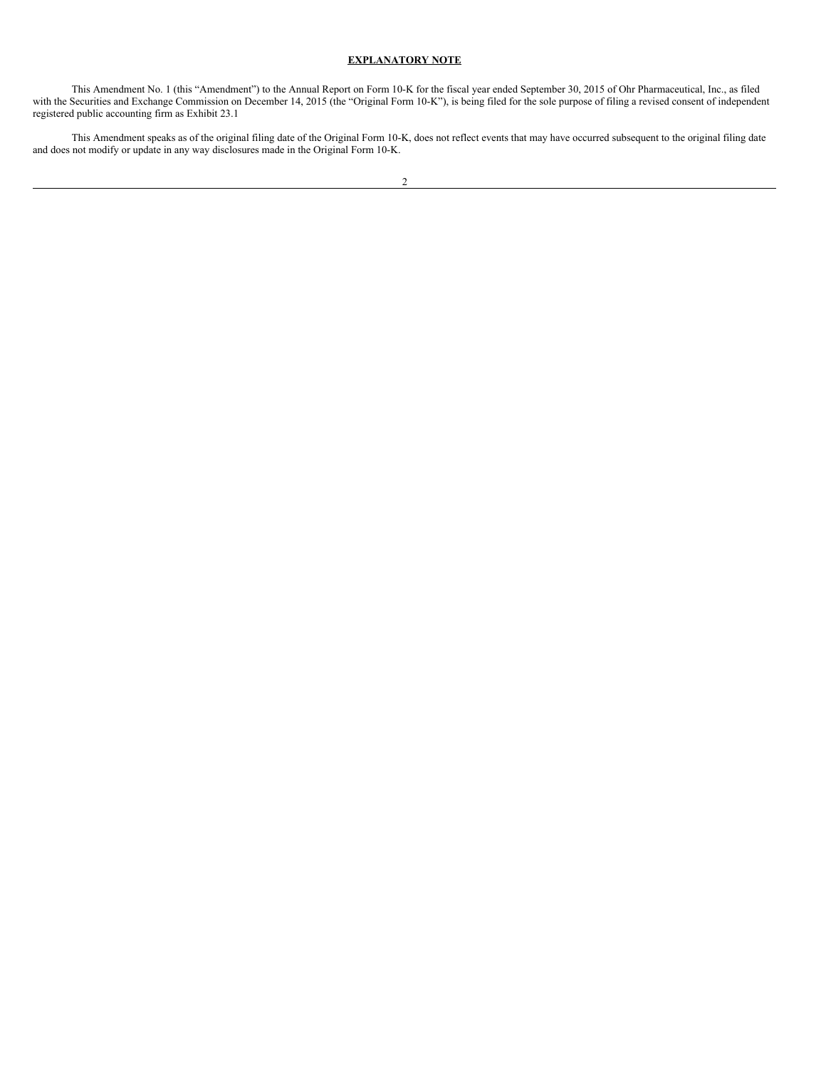## **EXPLANATORY NOTE**

<span id="page-1-0"></span>This Amendment No. 1 (this "Amendment") to the Annual Report on Form 10-K for the fiscal year ended September 30, 2015 of Ohr Pharmaceutical, Inc., as filed with the Securities and Exchange Commission on December 14, 2015 (the "Original Form 10-K"), is being filed for the sole purpose of filing a revised consent of independent registered public accounting firm as Exhibit 23.1

This Amendment speaks as of the original filing date of the Original Form 10-K, does not reflect events that may have occurred subsequent to the original filing date and does not modify or update in any way disclosures made in the Original Form 10-K.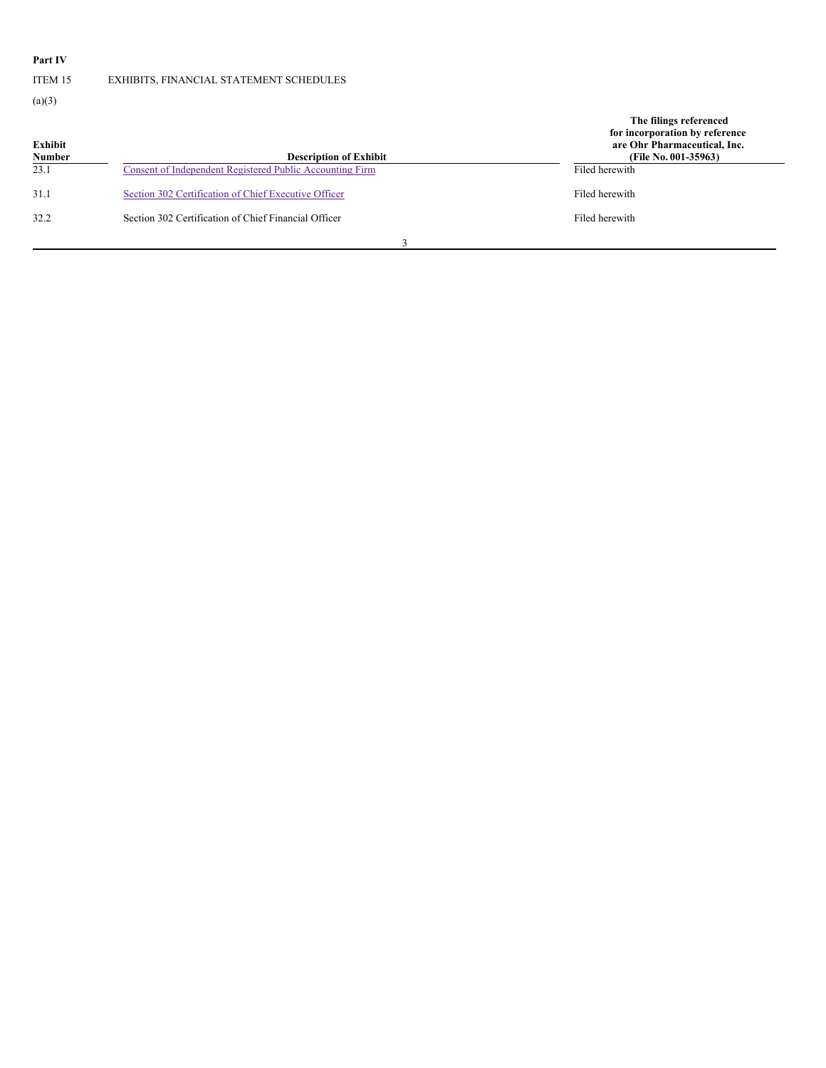# **Part IV**

ITEM 15 EXHIBITS, FINANCIAL STATEMENT SCHEDULES

 $(a)(3)$ 

| Exhibit<br><b>Number</b> | <b>Description of Exhibit</b>                            | The filings referenced<br>for incorporation by reference<br>are Ohr Pharmaceutical, Inc.<br>(File No. 001-35963) |
|--------------------------|----------------------------------------------------------|------------------------------------------------------------------------------------------------------------------|
| 23.1                     | Consent of Independent Registered Public Accounting Firm | Filed herewith                                                                                                   |
| 31.1                     | Section 302 Certification of Chief Executive Officer     | Filed herewith                                                                                                   |
| 32.2                     | Section 302 Certification of Chief Financial Officer     | Filed herewith                                                                                                   |
|                          |                                                          |                                                                                                                  |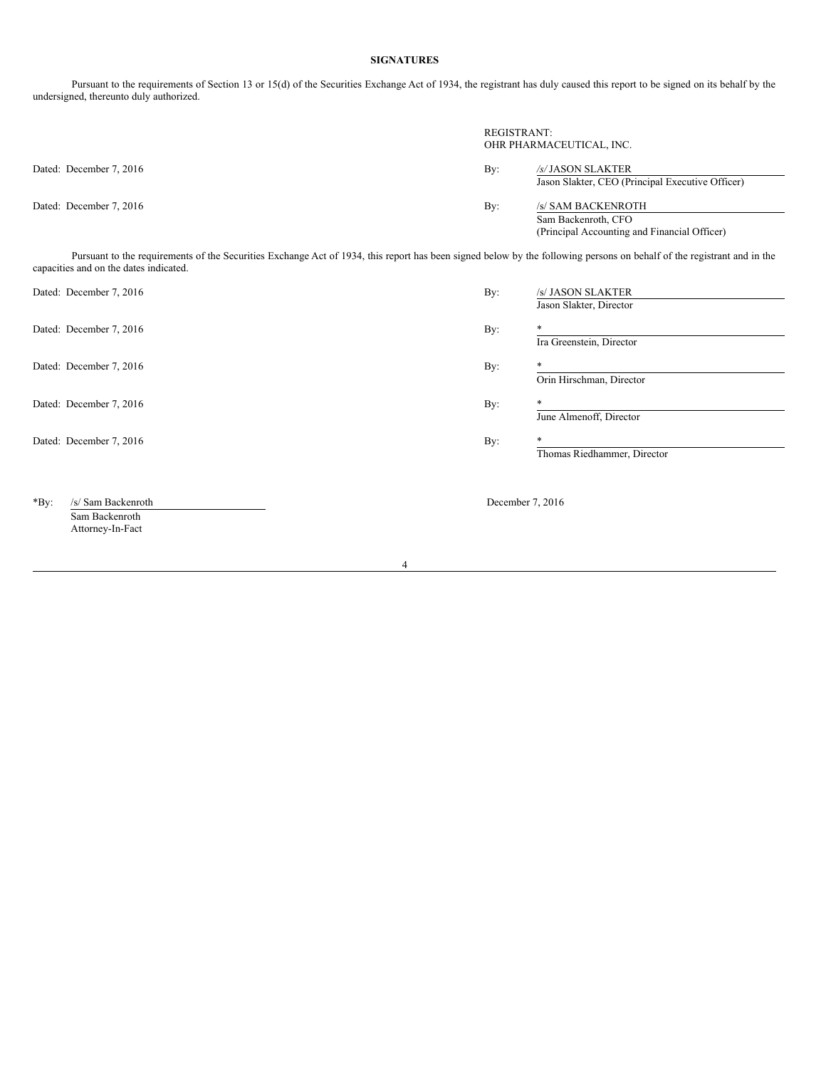## **SIGNATURES**

Pursuant to the requirements of Section 13 or 15(d) of the Securities Exchange Act of 1934, the registrant has duly caused this report to be signed on its behalf by the undersigned, thereunto duly authorized.

|                         | REGISTRANT:               | OHR PHARMACEUTICAL, INC.                         |  |
|-------------------------|---------------------------|--------------------------------------------------|--|
| Dated: December 7, 2016 | By:<br>/s/JASON SLAKTER   |                                                  |  |
|                         |                           | Jason Slakter, CEO (Principal Executive Officer) |  |
| Dated: December 7, 2016 | By:<br>/s/ SAM BACKENROTH |                                                  |  |
|                         | Sam Backenroth, CFO       |                                                  |  |
|                         |                           | (Principal Accounting and Financial Officer)     |  |

Pursuant to the requirements of the Securities Exchange Act of 1934, this report has been signed below by the following persons on behalf of the registrant and in the capacities and on the dates indicated.

| Dated: December 7, 2016       | By: | /s/ JASON SLAKTER           |  |
|-------------------------------|-----|-----------------------------|--|
|                               |     | Jason Slakter, Director     |  |
| Dated: December 7, 2016       | By: | *                           |  |
|                               |     | Ira Greenstein, Director    |  |
| Dated: December 7, 2016       | By: | $\ast$                      |  |
|                               |     | Orin Hirschman, Director    |  |
| Dated: December 7, 2016       | By: | $\ast$                      |  |
|                               |     | June Almenoff, Director     |  |
| Dated: December 7, 2016       | By: | *                           |  |
|                               |     | Thomas Riedhammer, Director |  |
|                               |     |                             |  |
| /s/ Sam Backenroth<br>$*$ By: |     | December 7, 2016            |  |
| Sam Backenroth                |     |                             |  |
| Attorney-In-Fact              |     |                             |  |

4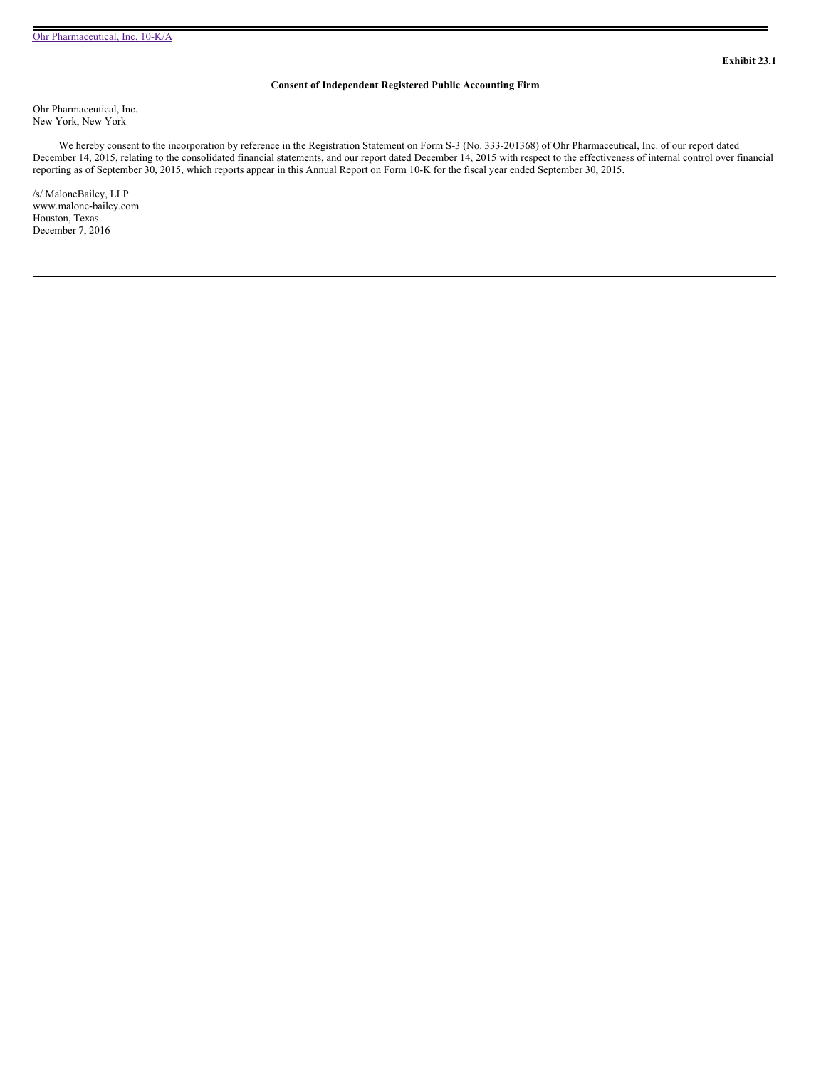### **Consent of Independent Registered Public Accounting Firm**

<span id="page-4-0"></span>Ohr Pharmaceutical, Inc. New York, New York

We hereby consent to the incorporation by reference in the Registration Statement on Form S-3 (No. 333-201368) of Ohr Pharmaceutical, Inc. of our report dated December 14, 2015, relating to the consolidated financial statements, and our report dated December 14, 2015 with respect to the effectiveness of internal control over financial reporting as of September 30, 2015, which reports appear in this Annual Report on Form 10-K for the fiscal year ended September 30, 2015.

/s/ MaloneBailey, LLP www.malone-bailey.com Houston, Texas December 7, 2016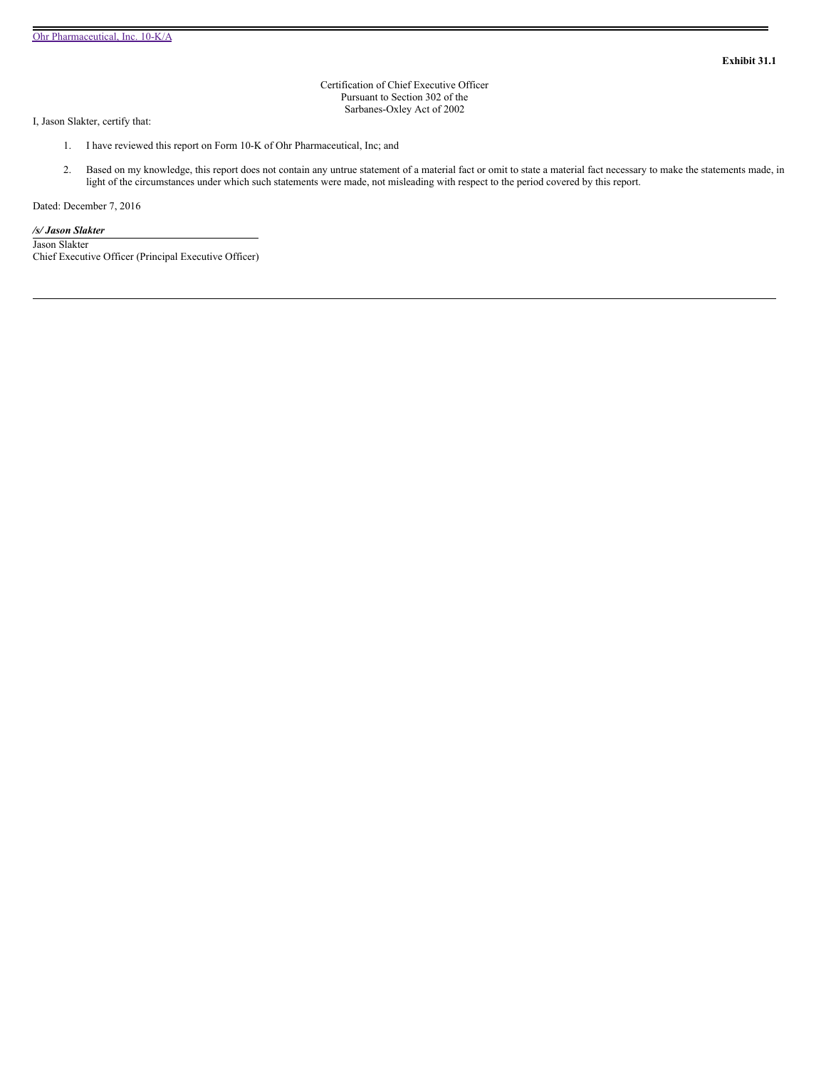Certification of Chief Executive Officer Pursuant to Section 302 of the Sarbanes-Oxley Act of 2002

<span id="page-5-0"></span>I, Jason Slakter, certify that:

- 1. I have reviewed this report on Form 10-K of Ohr Pharmaceutical, Inc; and
- 2. Based on my knowledge, this report does not contain any untrue statement of a material fact or omit to state a material fact necessary to make the statements made, in light of the circumstances under which such statements were made, not misleading with respect to the period covered by this report.

Dated: December 7, 2016

#### */s/ Jason Slakter*

Jason Slakter Chief Executive Officer (Principal Executive Officer)